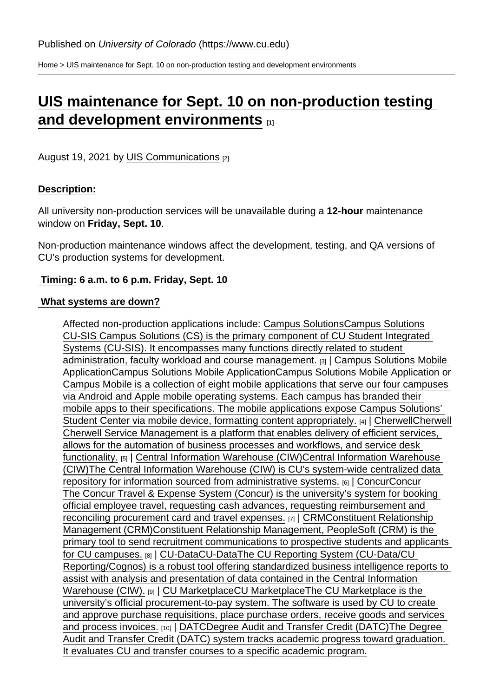[Home](https://www.cu.edu/) > UIS maintenance for Sept. 10 on non-production testing and development environments

# [UIS maintenance for Sept. 10 on non-production testing](https://www.cu.edu/blog/maintenance-matters/uis-maintenance-sept-10-non-production-testing-and-development-environments)  [and development environments](https://www.cu.edu/blog/maintenance-matters/uis-maintenance-sept-10-non-production-testing-and-development-environments)  $_{11}$

August 19, 2021 by [UIS Communications](https://www.cu.edu/blog/maintenance-matters/author/28671) [2]

## Description:

All university non-production services will be unavailable during a 12-hour maintenance window on Friday, Sept. 10 .

Non-production maintenance windows affect the development, testing, and QA versions of CU's production systems for development.

Timing: 6 a.m. to 6 p.m. Friday, Sept. 10

#### What systems are down?

Affected non-production applications include: [Campus SolutionsC](https://www.cu.edu/uis-glossary/campus-solutions)ampus Solutions CU-SIS Campus Solutions (CS) is the primary component of CU Student Integrated Systems (CU-SIS). It encompasses many functions directly related to student administration, faculty workload and course management. [3] Campus Solutions Mobile [ApplicationC](https://www.cu.edu/uis-glossary/campus-solutions-mobile-application)ampus Solutions Mobile ApplicationCampus Solutions Mobile Application or Campus Mobile is a collection of eight mobile applications that serve our four campuses via Android and Apple mobile operating systems. Each campus has branded their mobile apps to their specifications. The mobile applications expose Campus Solutions' Student Center via mobile device, formatting content appropriately. [4] [CherwellC](https://www.cu.edu/uis-glossary/cherwell)herwell Cherwell Service Management is a platform that enables delivery of efficient services, allows for the automation of business processes and workflows, and service desk functionality. [5] | [Central Information Warehouse \(CIW\)](https://www.cu.edu/uis-glossary/central-information-warehouse-ciw)Central Information Warehouse (CIW)The Central Information Warehouse (CIW) is CU's system-wide centralized data repository for information sourced from administrative systems. [6] | [ConcurC](https://www.cu.edu/uis-glossary/concur)oncur The Concur Travel & Expense System (Concur) is the university's system for booking official employee travel, requesting cash advances, requesting reimbursement and reconciling procurement card and travel expenses. [7] | [CRM](https://www.cu.edu/uis-glossary/constituent-relationship-management-crm)Constituent Relationship Management (CRM)Constituent Relationship Management, PeopleSoft (CRM) is the primary tool to send recruitment communications to prospective students and applicants for CU campuses. [8] | [CU-DataC](https://www.cu.edu/uis-glossary/cu-data)U-DataThe CU Reporting System (CU-Data/CU Reporting/Cognos) is a robust tool offering standardized business intelligence reports to assist with analysis and presentation of data contained in the Central Information Warehouse (CIW). [9] | [CU MarketplaceC](https://www.cu.edu/uis-glossary/cu-marketplace)U MarketplaceThe CU Marketplace is the university's official procurement-to-pay system. The software is used by CU to create and approve purchase requisitions, place purchase orders, receive goods and services and process invoices. [10] | [DATC](https://www.cu.edu/uis-glossary/degree-audit-and-transfer-credit-datc)Degree Audit and Transfer Credit (DATC)The Degree Audit and Transfer Credit (DATC) system tracks academic progress toward graduation. It evaluates CU and transfer courses to a specific academic program.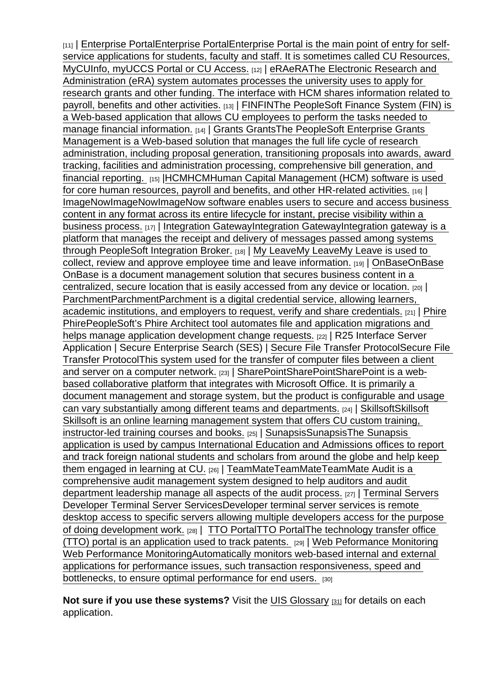[11] | [Enterprise Portal](https://www.cu.edu/uis-glossary/enterprise-portal)Enterprise PortalEnterprise Portal is the main point of entry for selfservice applications for students, faculty and staff. It is sometimes called CU Resources, MyCUInfo, myUCCS Portal or CU Access. [12] [eRA](https://www.cu.edu/uis-glossary/era)eRAThe Electronic Research and Administration (eRA) system automates processes the university uses to apply for research grants and other funding. The interface with HCM shares information related to payroll, benefits and other activities. [13] | [FIN](https://www.cu.edu/uis-glossary/fin)FINThe PeopleSoft Finance System (FIN) is a Web-based application that allows CU employees to perform the tasks needed to manage financial information. [14] | [Grants](https://www.cu.edu/uis-glossary/grants) GrantsThe PeopleSoft Enterprise Grants Management is a Web-based solution that manages the full life cycle of research administration, including proposal generation, transitioning proposals into awards, award tracking, facilities and administration processing, comprehensive bill generation, and financial reporting. [15] [|HCMH](https://www.cu.edu/uis-glossary/hcm)CMHuman Capital Management (HCM) software is used for core human resources, payroll and benefits, and other HR-related activities. [16] | [ImageNow](https://www.cu.edu/uis-glossary/imagenow)ImageNowImageNow software enables users to secure and access business content in any format across its entire lifecycle for instant, precise visibility within a business process. [17] | [Integration GatewayI](https://www.cu.edu/uis-glossary/integration-gateway)ntegration GatewayIntegration gateway is a platform that manages the receipt and delivery of messages passed among systems through PeopleSoft Integration Broker. [18] | [My LeaveM](https://www.cu.edu/uis-glossary/my-leave)y LeaveMy Leave is used to collect, review and approve employee time and leave information. [19] | [OnBaseO](https://www.cu.edu/uis-glossary/onbase)nBase OnBase is a document management solution that secures business content in a centralized, secure location that is easily accessed from any device or location. [20] | [Parchment](https://www.cu.edu/uis-glossary/parchment)ParchmentParchment is a digital credential service, allowing learners, academic institutions, and employers to request, verify and share credentials. [21] | [Phire](https://www.cu.edu/uis-glossary/phire) PhirePeopleSoft's Phire Architect tool automates file and application migrations and helps manage application development change requests. [22] | R25 Interface Server Application | Secure Enterprise Search (SES) | [Secure File Transfer Protocol](https://www.cu.edu/uis-glossary/secure-file-transfer-protocol)Secure File Transfer ProtocolThis system used for the transfer of computer files between a client and server on a computer network. [23] | [SharePointS](https://www.cu.edu/uis-glossary/sharepoint)harePointSharePoint is a webbased collaborative platform that integrates with Microsoft Office. It is primarily a document management and storage system, but the product is configurable and usage can vary substantially among different teams and departments. [24] | [SkillsoftS](https://www.cu.edu/uis-glossary/skillsoft)killsoft Skillsoft is an online learning management system that offers CU custom training, instructor-led training courses and books. [25] | [SunapsisS](https://www.cu.edu/uis-glossary/sunapsis)unapsisThe Sunapsis application is used by campus International Education and Admissions offices to report and track foreign national students and scholars from around the globe and help keep them engaged in learning at CU. [26] | [TeamMate](https://www.cu.edu/uis-glossary/teammate)TeamMateTeamMate Audit is a comprehensive audit management system designed to help auditors and audit department leadership manage all aspects of the audit process. [27] | [Terminal Servers](https://www.cu.edu/uis-glossary/developer-terminal-server-services) Developer Terminal Server ServicesDeveloper terminal server services is remote desktop access to specific servers allowing multiple developers access for the purpose of doing development work. [28] | [TTO PortalT](https://www.cu.edu/uis-glossary/tto-portal)TO PortalThe technology transfer office (TTO) portal is an application used to track patents. [29] | [Web Peformance Monitoring](https://www.cu.edu/uis-glossary/web-performance-monitoring) Web Performance MonitoringAutomatically monitors web-based internal and external applications for performance issues, such transaction responsiveness, speed and bottlenecks, to ensure optimal performance for end users. [30]

Not sure if you use these systems? Visit the [UIS Glossary](https://www.cu.edu/uis/maintenance-matters-blog/glossary)  $[31]$  for details on each application.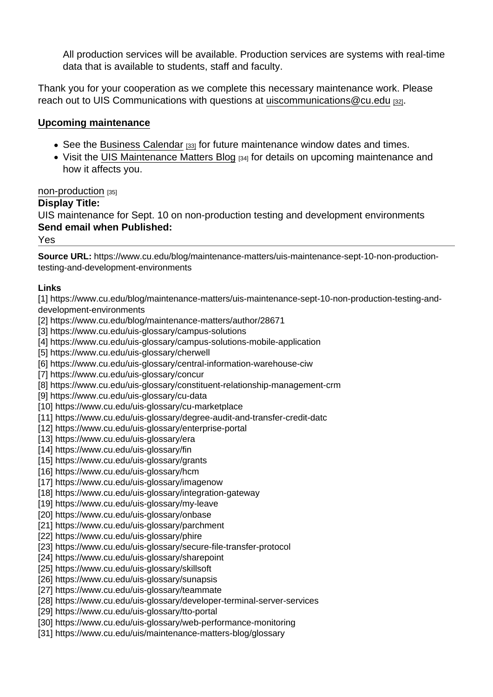All production services will be available. Production services are systems with real-time data that is available to students, staff and faculty.

Thank you for your cooperation as we complete this necessary maintenance work. Please reach out to UIS Communications with questions at [uiscommunications@cu.edu](http://mailto:uiscommunications@cu.edu) [32].

### Upcoming maintenance

- See the [Business Calendar](https://sp.cu.edu/UIS/Lists/Business Calendar/calendar.aspx) [33] for future maintenance window dates and times.
- Visit the [UIS Maintenance Matters Blog](https://www.cu.edu/blog/uis-service-alerts) [34] for details on upcoming maintenance and how it affects you.

#### [non-production](https://www.cu.edu/blog/maintenance-matters/tag/non-production) [35]

Display Title:

UIS maintenance for Sept. 10 on non-production testing and development environments Send email when Published:

Yes

Source URL: https://www.cu.edu/blog/maintenance-matters/uis-maintenance-sept-10-non-productiontesting-and-development-environments

Links

[1] https://www.cu.edu/blog/maintenance-matters/uis-maintenance-sept-10-non-production-testing-anddevelopment-environments

[2] https://www.cu.edu/blog/maintenance-matters/author/28671

[3] https://www.cu.edu/uis-glossary/campus-solutions

[4] https://www.cu.edu/uis-glossary/campus-solutions-mobile-application

[5] https://www.cu.edu/uis-glossary/cherwell

[6] https://www.cu.edu/uis-glossary/central-information-warehouse-ciw

[7] https://www.cu.edu/uis-glossary/concur

[8] https://www.cu.edu/uis-glossary/constituent-relationship-management-crm

[9] https://www.cu.edu/uis-glossary/cu-data

[10] https://www.cu.edu/uis-glossary/cu-marketplace

[11] https://www.cu.edu/uis-glossary/degree-audit-and-transfer-credit-datc

[12] https://www.cu.edu/uis-glossary/enterprise-portal

[13] https://www.cu.edu/uis-glossary/era

[14] https://www.cu.edu/uis-glossary/fin

[15] https://www.cu.edu/uis-glossary/grants

[16] https://www.cu.edu/uis-glossary/hcm

[17] https://www.cu.edu/uis-glossary/imagenow

[18] https://www.cu.edu/uis-glossary/integration-gateway

[19] https://www.cu.edu/uis-glossary/my-leave

[20] https://www.cu.edu/uis-glossary/onbase

[21] https://www.cu.edu/uis-glossary/parchment

[22] https://www.cu.edu/uis-glossary/phire

[23] https://www.cu.edu/uis-glossary/secure-file-transfer-protocol

[24] https://www.cu.edu/uis-glossary/sharepoint

[25] https://www.cu.edu/uis-glossary/skillsoft

[26] https://www.cu.edu/uis-glossary/sunapsis

[27] https://www.cu.edu/uis-glossary/teammate

[28] https://www.cu.edu/uis-glossary/developer-terminal-server-services

[29] https://www.cu.edu/uis-glossary/tto-portal

[30] https://www.cu.edu/uis-glossary/web-performance-monitoring

[31] https://www.cu.edu/uis/maintenance-matters-blog/glossary